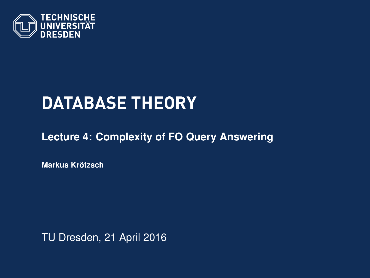<span id="page-0-0"></span>

# **DATABASE THEORY**

#### **[Lecture 4: Complexity of FO Query Answering](https://ddll.inf.tu-dresden.de/web/Database_Theory_%28SS2016%29/en)**

**[Markus Krotzsch](http://korrekt.org/) ¨**

TU Dresden, 21 April 2016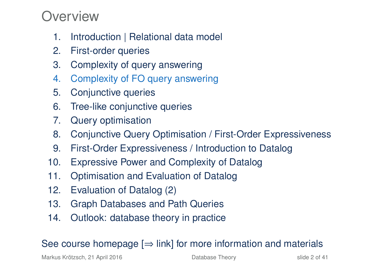### Overview

- 1. Introduction | Relational data model
- 2. First-order queries
- 3. Complexity of query answering
- 4. Complexity of FO query answering
- 5. Conjunctive queries
- 6. Tree-like conjunctive queries
- 7. Query optimisation
- 8. Conjunctive Query Optimisation / First-Order Expressiveness
- 9. First-Order Expressiveness / Introduction to Datalog
- 10. Expressive Power and Complexity of Datalog
- 11. Optimisation and Evaluation of Datalog
- 12. Evaluation of Datalog (2)
- 13. Graph Databases and Path Queries
- 14. Outlook: database theory in practice

#### See course homepage  $[\Rightarrow]$  link] for more information and materials

Markus Krötzsch, 21 April 2016 **[Database Theory](#page-0-0)** Charles Controllery slide 2 of 41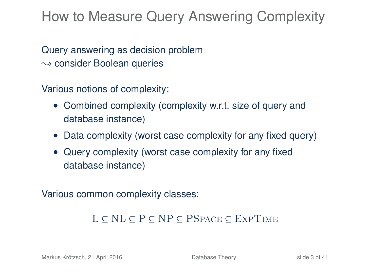### How to Measure Query Answering Complexity

Query answering as decision problem  $\rightsquigarrow$  consider Boolean queries

Various notions of complexity:

- Combined complexity (complexity w.r.t. size of query and database instance)
- Data complexity (worst case complexity for any fixed query)
- Query complexity (worst case complexity for any fixed database instance)

Various common complexity classes:

#### L ⊆ NL ⊆ P ⊆ NP ⊆ PSpace ⊆ ExpTime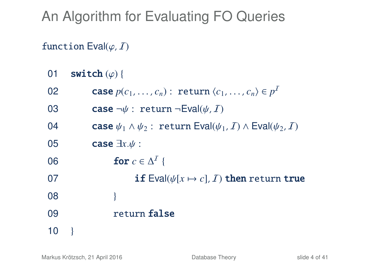## An Algorithm for Evaluating FO Queries

#### function  $Eval(\varphi, I)$

- 01 **switch**  $(\varphi)$  {<br>02 **case** *n*(
- 02 **case**  $p(c_1, ..., c_n)$ : return  $\langle c_1, ..., c_n \rangle \in p^T$
- 03 case  $\neg \psi$ : return  $\neg$ Eval( $\psi$ , *I*)<br>04 case  $\psi_1 \wedge \psi_2$ : return Eval( $\psi_1$
- 04 case  $\psi_1 \wedge \psi_2$ : return Eval $(\psi_1, \mathcal{I}) \wedge \text{Eval}(\psi_2, \mathcal{I})$ <br>05 case  $\exists x. \psi$ :
- 05 **case**  $\exists x.\psi$  :<br>06 **for**  $c \in \mathbb{R}$
- 06 **for**  $c \in \Delta^I$  {
- 07 **if** Eval( $\psi[x \mapsto c]$ , *I*) then return true 08
- 08 }
- 09 return false
- $10$  }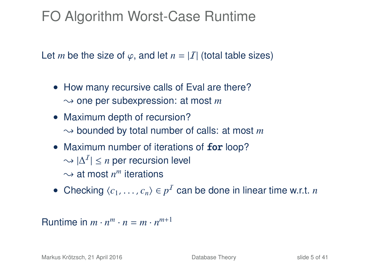## FO Algorithm Worst-Case Runtime

Let *m* be the size of  $\varphi$ , and let  $n = |I|$  (total table sizes)

- How many recursive calls of Eval are there?  $\sim$  one per subexpression: at most *m*
- Maximum depth of recursion?  $\rightarrow$  bounded by total number of calls: at most *m*
- Maximum number of iterations of for loop?  $\sim |\Delta^I| \leq n$  per recursion level  $\sim$  at most  $n^m$  iterations
- Checking  $\langle c_1, \ldots, c_n \rangle \in p^{\mathcal{I}}$  can be done in linear time w.r.t. *n*

Runtime in  $m \cdot n^m \cdot n = m \cdot n^{m+1}$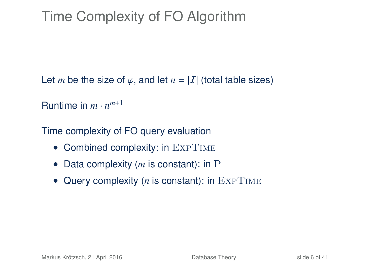## Time Complexity of FO Algorithm

Let *m* be the size of  $\varphi$ , and let  $n = |I|$  (total table sizes)

```
Runtime in m \cdot n^{m+1}
```
Time complexity of FO query evaluation

- Combined complexity: in EXPTIME
- Data complexity (*m* is constant): in P
- Query complexity (*n* is constant): in EXPTIME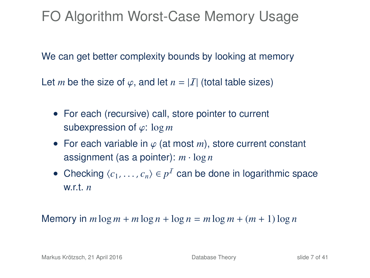FO Algorithm Worst-Case Memory Usage

We can get better complexity bounds by looking at memory

Let *m* be the size of  $\varphi$ , and let  $n = |I|$  (total table sizes)

- For each (recursive) call, store pointer to current subexpression of ϕ: log *<sup>m</sup>*
- For each variable in  $\varphi$  (at most *m*), store current constant assignment (as a pointer): *m* · log *n*
- Checking  $\langle c_1, \ldots, c_n \rangle \in p^{\mathcal{I}}$  can be done in logarithmic space with n w.r.t. *n*

Memory in  $m \log m + m \log n + \log n = m \log m + (m + 1) \log n$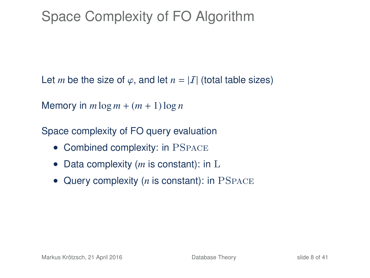## Space Complexity of FO Algorithm

Let *m* be the size of  $\varphi$ , and let  $n = |I|$  (total table sizes)

Memory in  $m \log m + (m + 1) \log n$ 

Space complexity of FO query evaluation

- Combined complexity: in PSPACE
- Data complexity (*m* is constant): in L
- Query complexity (*n* is constant): in PSPACE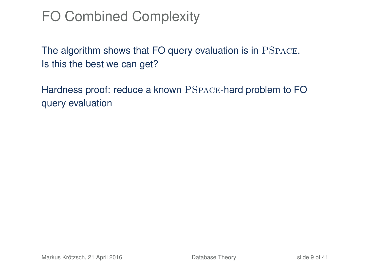## FO Combined Complexity

The algorithm shows that FO query evaluation is in PSpace. Is this the best we can get?

Hardness proof: reduce a known PSpace-hard problem to FO query evaluation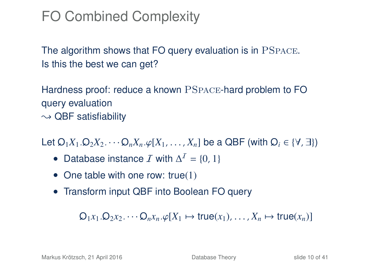## FO Combined Complexity

The algorithm shows that FO query evaluation is in PSpace. Is this the best we can get?

Hardness proof: reduce a known PSpace-hard problem to FO query evaluation  $\sim$  QBF satisfiability

Let  $Q_1X_1 \cdot Q_2X_2 \cdots Q_nX_n \cdot \varphi[X_1, \ldots, X_n]$  be a QBF (with  $Q_i \in \{V, \exists\}$ )

- Database instance *I* with  $\Delta^I = \{0, 1\}$
- One table with one row: true(1)
- Transform input QBF into Boolean FO query

 $Q_1x_1 \ldots Q_2x_2 \ldots \ldots Q_nx_n \ldots \varphi[X_1 \mapsto \text{true}(x_1), \ldots, X_n \mapsto \text{true}(x_n)$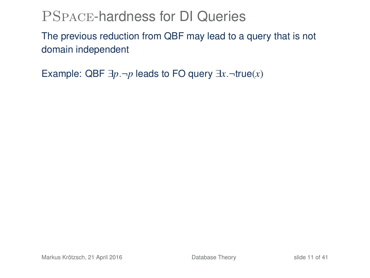### PSpace-hardness for DI Queries

The previous reduction from QBF may lead to a query that is not domain independent

Example: QBF  $\exists p.\neg p$  leads to FO query  $\exists x.\neg true(x)$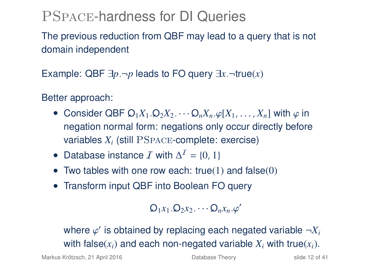### PSpace-hardness for DI Queries

The previous reduction from QBF may lead to a query that is not domain independent

Example: QBF  $\exists p, \neg p$  leads to FO query  $\exists x. \neg true(x)$ 

Better approach:

- Consider QBF  $Q_1X_1 \cdot Q_2X_2 \cdots Q_nX_n \cdot \varphi[X_1, \ldots, X_n]$  with  $\varphi$  in negation normal form: negations only occur directly before variables *X<sup>i</sup>* (still PSpace-complete: exercise)
- Database instance *I* with  $\Delta^I = \{0, 1\}$
- Two tables with one row each: true(1) and false(0)
- Transform input QBF into Boolean FO query

$$
Q_1x_1.Q_2x_2.\cdots Q_nx_n.\varphi'
$$

where  $\varphi'$  is obtained by replacing each negated variable  $\neg X_i$ <br>with folog(x) and seeh negated variable  $Y$  with true(x) with false( $x_i$ ) and each non-negated variable  $X_i$  with true( $x_i$ ).

Markus Krötzsch, 21 April 2016 **[Database Theory](#page-0-0)** Slide 12 of 41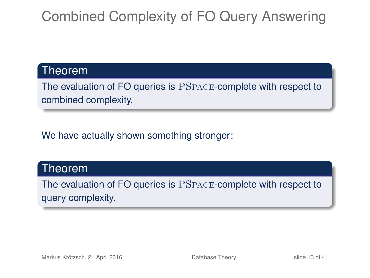## Combined Complexity of FO Query Answering

#### Theorem

The evaluation of FO queries is PSpace-complete with respect to combined complexity.

We have actually shown something stronger:

#### Theorem

The evaluation of FO queries is PSpace-complete with respect to query complexity.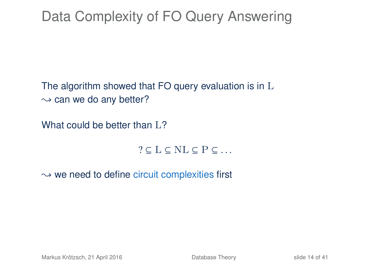## Data Complexity of FO Query Answering

The algorithm showed that FO query evaluation is in L  $\rightarrow$  can we do any better?

What could be better than  $L$ ?

 $? \subset L \subset NL \subset P \subset ...$ 

 $\rightarrow$  we need to define circuit complexities first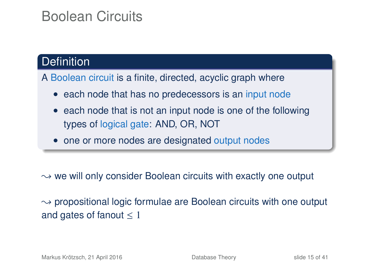### Boolean Circuits

#### **Definition**

A Boolean circuit is a finite, directed, acyclic graph where

- each node that has no predecessors is an input node
- each node that is not an input node is one of the following types of logical gate: AND, OR, NOT
- one or more nodes are designated output nodes

 $\rightarrow$  we will only consider Boolean circuits with exactly one output

 $\rightarrow$  propositional logic formulae are Boolean circuits with one output and gates of fanout  $\leq 1$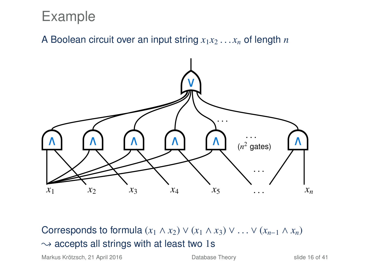### Example

A Boolean circuit over an input string  $x_1x_2 \ldots x_n$  of length *n* 



Corresponds to formula  $(x_1 \wedge x_2) \vee (x_1 \wedge x_3) \vee \ldots \vee (x_{n-1} \wedge x_n)$  $\rightsquigarrow$  accepts all strings with at least two 1s

Markus Krötzsch, 21 April 2016 [Database Theory](#page-0-0) slide 16 of 41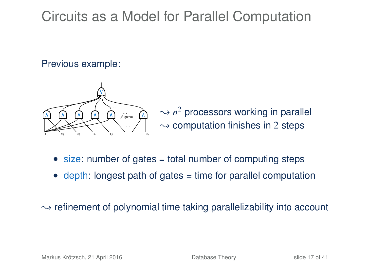### Circuits as a Model for Parallel Computation

#### Previous example:



 $\sim$   $n^2$  processors working in parallel  $\rightsquigarrow$  computation finishes in 2 steps

- size: number of gates = total number of computing steps
- $\bullet$  depth: longest path of gates  $=$  time for parallel computation

 $\rightarrow$  refinement of polynomial time taking parallelizability into account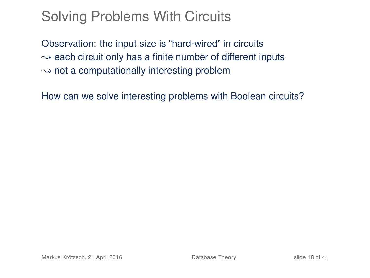## Solving Problems With Circuits

Observation: the input size is "hard-wired" in circuits  $\rightarrow$  each circuit only has a finite number of different inputs  $\rightarrow$  not a computationally interesting problem

How can we solve interesting problems with Boolean circuits?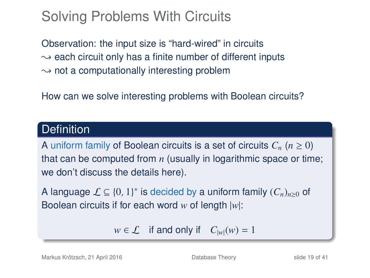## Solving Problems With Circuits

Observation: the input size is "hard-wired" in circuits  $\sim$  each circuit only has a finite number of different inputs  $\rightarrow$  not a computationally interesting problem

How can we solve interesting problems with Boolean circuits?

#### **Definition**

A uniform family of Boolean circuits is a set of circuits  $C_n$  ( $n \geq 0$ ) that can be computed from *n* (usually in logarithmic space or time; we don't discuss the details here).

A language  $\mathcal{L} \subseteq \{0, 1\}^*$  is decided by a uniform family  $(C_n)_{n \geq 0}$  of Boolean circuits if for each word *w* of length |*w*|:

 $w \in \mathcal{L}$  if and only if  $C_{|w|}(w) = 1$ 

Markus Krötzsch, 21 April 2016 [Database Theory](#page-0-0) slide 19 of 41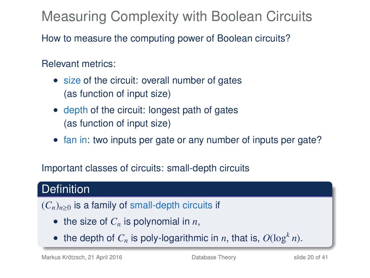Measuring Complexity with Boolean Circuits

How to measure the computing power of Boolean circuits?

Relevant metrics:

- size of the circuit: overall number of gates (as function of input size)
- depth of the circuit: longest path of gates (as function of input size)
- fan in: two inputs per gate or any number of inputs per gate?

Important classes of circuits: small-depth circuits

### **Definition**

 $(C_n)_{n>0}$  is a family of small-depth circuits if

- the size of  $C_n$  is polynomial in  $n$ ,
- the depth of  $C_n$  is poly-logarithmic in *n*, that is,  $O(\log^k n)$ .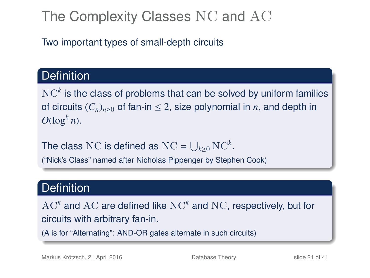## The Complexity Classes NC and AC

Two important types of small-depth circuits

### **Definition**

 $\mathrm{NC}^k$  is the class of problems that can be solved by uniform families of circuits  $(C_n)_{n\geq 0}$  of fan-in  $\leq 2$ , size polynomial in *n*, and depth in  $O(\log^k n)$ .

The class NC is defined as  $\mathrm{NC} = \bigcup_{k \geq 0} \mathrm{NC}^k$ .

("Nick's Class" named after Nicholas Pippenger by Stephen Cook)

#### **Definition**

 $\operatorname{AC}^k$  and  $\operatorname{AC}$  are defined like  $\operatorname{NC}^k$  and  $\operatorname{NC}$ , respectively, but for circuits with arbitrary fan-in.

(A is for "Alternating": AND-OR gates alternate in such circuits)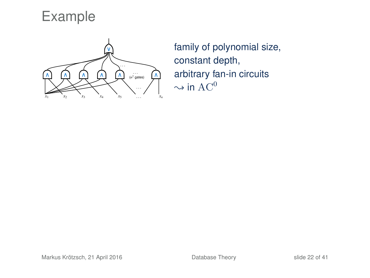Example



family of polynomial size, constant depth, arbitrary fan-in circuits  $\sim$  in  $AC^0$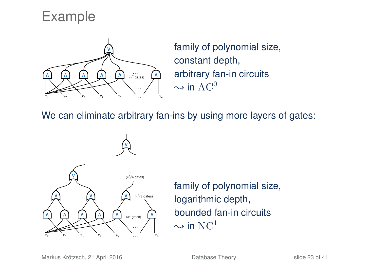### Example



family of polynomial size, constant depth, arbitrary fan-in circuits  $\sim$  in AC<sup>0</sup>

We can eliminate arbitrary fan-ins by using more layers of gates:



family of polynomial size, logarithmic depth, bounded fan-in circuits  $\sim$  in NC<sup>1</sup>

Markus Krötzsch, 21 April 2016 [Database Theory](#page-0-0) slide 23 of 41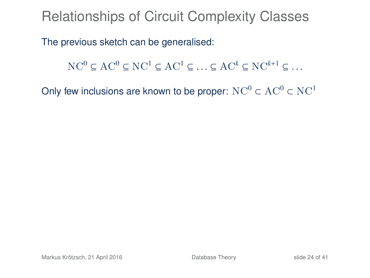Relationships of Circuit Complexity Classes

The previous sketch can be generalised:

 $NC^0 \subset AC^0 \subset NC^1 \subset AC^1 \subset ... \subset AC^k \subset NC^{k+1} \subset ...$ 

Only few inclusions are known to be proper:  $NC^0 \subset AC^0 \subset NC^1$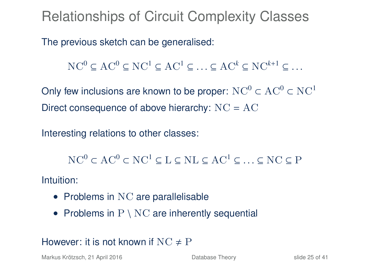Relationships of Circuit Complexity Classes

The previous sketch can be generalised:

 $NC^0 \subset AC^0 \subset NC^1 \subset AC^1 \subset ... \subset AC^k \subset NC^{k+1} \subset ...$ 

Only few inclusions are known to be proper:  $NC^0 \subset AC^0 \subset NC^1$ Direct consequence of above hierarchy: NC = AC

Interesting relations to other classes:

 $NC^0 \subset AC^0 \subset NC^1 \subset L \subset NL \subset AC^1 \subset ... \subset NC \subset P$ 

Intuition:

- Problems in NC are parallelisable
- Problems in  $P \setminus NC$  are inherently sequential

#### However: it is not known if  $NC \neq P$

Markus Krötzsch, 21 April 2016 **[Database Theory](#page-0-0)** Slide 25 of 41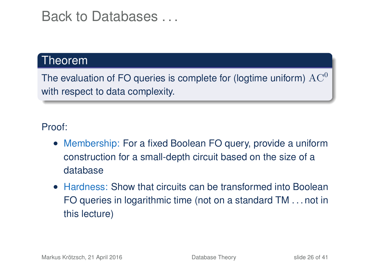### Back to Databases . . .

#### Theorem

The evaluation of FO queries is complete for (logtime uniform)  $AC<sup>0</sup>$ with respect to data complexity.

#### Proof:

- Membership: For a fixed Boolean FO query, provide a uniform construction for a small-depth circuit based on the size of a database
- Hardness: Show that circuits can be transformed into Boolean FO queries in logarithmic time (not on a standard TM . . . not in this lecture)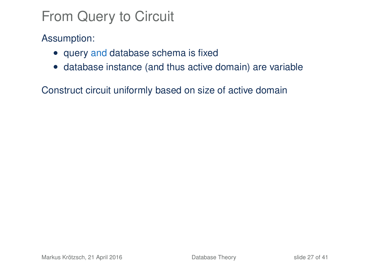## From Query to Circuit

Assumption:

- query and database schema is fixed
- database instance (and thus active domain) are variable

Construct circuit uniformly based on size of active domain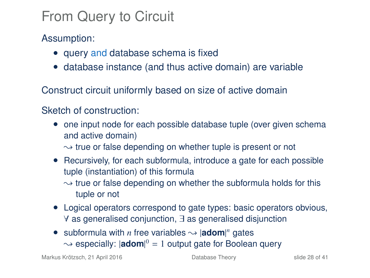## From Query to Circuit

Assumption:

- query and database schema is fixed
- database instance (and thus active domain) are variable

Construct circuit uniformly based on size of active domain

#### Sketch of construction:

- one input node for each possible database tuple (over given schema and active domain)
	- $\rightarrow$  true or false depending on whether tuple is present or not
- Recursively, for each subformula, introduce a gate for each possible tuple (instantiation) of this formula
	- $\sim$  true or false depending on whether the subformula holds for this tuple or not
- Logical operators correspond to gate types: basic operators obvious, ∀ as generalised conjunction, ∃ as generalised disjunction
- subformula with *n* free variables  $\sim$  |**adom**|<sup>*n*</sup> gates → especially: |adom|<sup>0</sup> = 1 output gate for Boolean query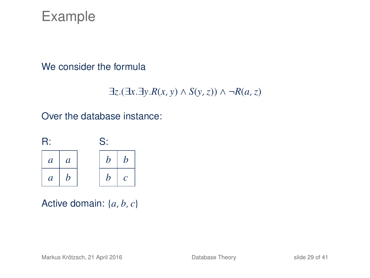### Example

#### We consider the formula

$$
\exists z.(\exists x. \exists y. R(x, y) \land S(y, z)) \land \neg R(a, z)
$$

#### Over the database instance:



Active domain: {*a*, *b*, *c*}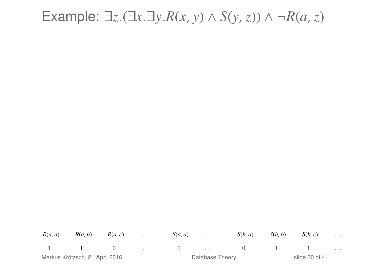### Example: ∃*z*.(∃*x*.∃*y*.*R*(*x*, *y*) ∧ *S*(*y*,*z*)) ∧ ¬*R*(*a*,*z*)

*<sup>R</sup>*(*a*, *<sup>a</sup>*) *<sup>R</sup>*(*a*, *<sup>b</sup>*) *<sup>R</sup>*(*a*, *<sup>c</sup>*) . . . *<sup>S</sup>*(*a*, *<sup>a</sup>*) . . . *<sup>S</sup>*(*b*, *<sup>a</sup>*) *<sup>S</sup>*(*b*, *<sup>b</sup>*) *<sup>S</sup>*(*b*, *<sup>c</sup>*) . . . 1 1 0 ... 0 ... 0 1 1 ...<br>1 1 ... 0 ... 0 ... 0 ... slide 30 of 41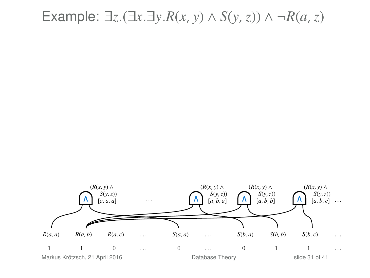## Example: ∃*z*.(∃*x*.∃*y*.*R*(*x*, *y*) ∧ *S*(*y*,*z*)) ∧ ¬*R*(*a*,*z*)

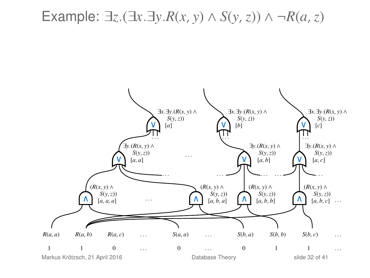Example: ∃*z*.(∃*x*.∃*y*.*R*(*x*, *y*) ∧ *S*(*y*,*z*)) ∧ ¬*R*(*a*,*z*)

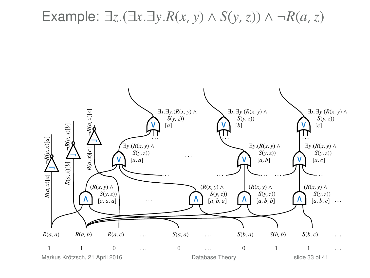Example: ∃*z*.(∃*x*.∃*y*.*R*(*x*, *y*) ∧ *S*(*y*,*z*)) ∧ ¬*R*(*a*,*z*)

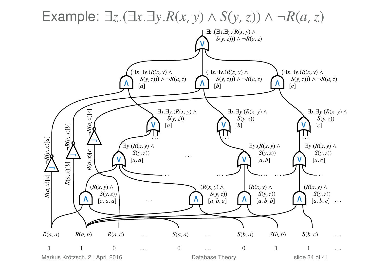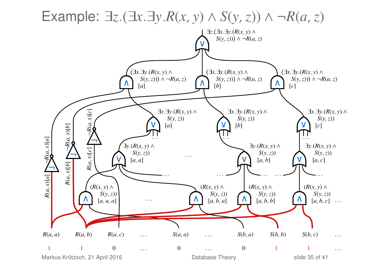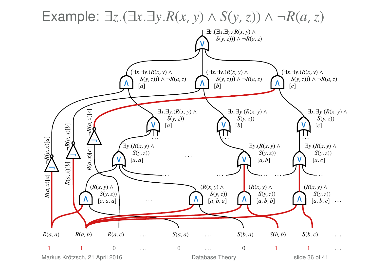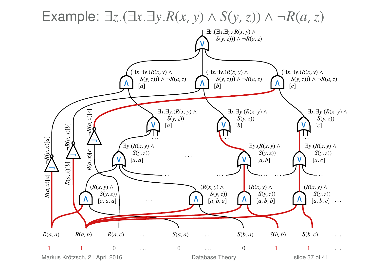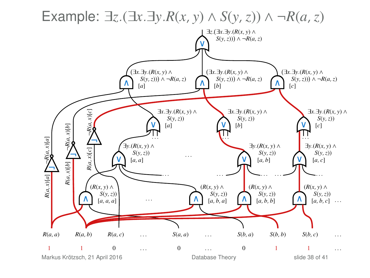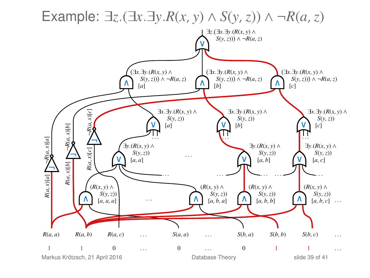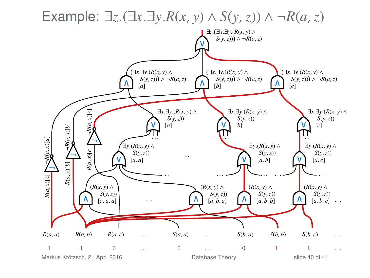